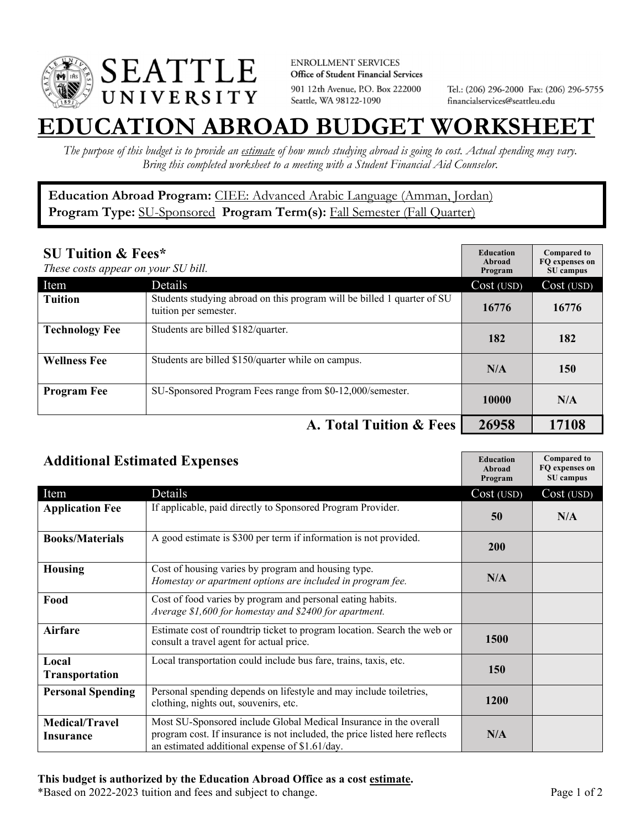

**ENROLLMENT SERVICES** Office of Student Financial Services 901 12th Avenue, P.O. Box 222000 Seattle, WA 98122-1090

Tel.: (206) 296-2000 Fax: (206) 296-5755 financialservices@seattleu.edu

## **EATION ABROAD BUDGET WORKSHEE**

*The purpose of this budget is to provide an estimate of how much studying abroad is going to cost. Actual spending may vary. Bring this completed worksheet to a meeting with a Student Financial Aid Counselor.* 

**Education Abroad Program:** CIEE: Advanced Arabic Language (Amman, Jordan) Program Type: **SU-Sponsored** Program Term(s): **Fall Semester (Fall Quarter)** 

| <b>SU Tuition &amp; Fees*</b><br>These costs appear on your SU bill. |                                                                                                  | <b>Education</b><br>Abroad<br>Program | <b>Compared to</b><br>FO expenses on<br>SU campus |
|----------------------------------------------------------------------|--------------------------------------------------------------------------------------------------|---------------------------------------|---------------------------------------------------|
| Item                                                                 | Details                                                                                          | Cost (USD)                            | Cost (USD)                                        |
| <b>Tuition</b>                                                       | Students studying abroad on this program will be billed 1 quarter of SU<br>tuition per semester. | 16776                                 | 16776                                             |
| <b>Technology Fee</b>                                                | Students are billed \$182/quarter.                                                               | 182                                   | 182                                               |
| <b>Wellness Fee</b>                                                  | Students are billed \$150/quarter while on campus.                                               | N/A                                   | 150                                               |
| <b>Program Fee</b>                                                   | SU-Sponsored Program Fees range from \$0-12,000/semester.                                        | 10000                                 | N/A                                               |
| A. Total Tuition & Fees                                              |                                                                                                  | 26958                                 | 17108                                             |

| <b>Additional Estimated Expenses</b> |                                                                                                                                                                                                   | <b>Education</b><br>Abroad<br>Program | <b>Compared to</b><br>FQ expenses on<br>SU campus |
|--------------------------------------|---------------------------------------------------------------------------------------------------------------------------------------------------------------------------------------------------|---------------------------------------|---------------------------------------------------|
| Item                                 | Details                                                                                                                                                                                           | Cost (USD)                            | Cost (USD)                                        |
| <b>Application Fee</b>               | If applicable, paid directly to Sponsored Program Provider.                                                                                                                                       | 50                                    | N/A                                               |
| <b>Books/Materials</b>               | A good estimate is \$300 per term if information is not provided.                                                                                                                                 | 200                                   |                                                   |
| <b>Housing</b>                       | Cost of housing varies by program and housing type.<br>Homestay or apartment options are included in program fee.                                                                                 | N/A                                   |                                                   |
| Food                                 | Cost of food varies by program and personal eating habits.<br>Average \$1,600 for homestay and \$2400 for apartment.                                                                              |                                       |                                                   |
| <b>Airfare</b>                       | Estimate cost of roundtrip ticket to program location. Search the web or<br>consult a travel agent for actual price.                                                                              | <b>1500</b>                           |                                                   |
| Local<br><b>Transportation</b>       | Local transportation could include bus fare, trains, taxis, etc.                                                                                                                                  | <b>150</b>                            |                                                   |
| <b>Personal Spending</b>             | Personal spending depends on lifestyle and may include toiletries,<br>clothing, nights out, souvenirs, etc.                                                                                       | <b>1200</b>                           |                                                   |
| <b>Medical/Travel</b><br>Insurance   | Most SU-Sponsored include Global Medical Insurance in the overall<br>program cost. If insurance is not included, the price listed here reflects<br>an estimated additional expense of \$1.61/day. | N/A                                   |                                                   |

## **This budget is authorized by the Education Abroad Office as a cost estimate.**

\*Based on 2022-2023 tuition and fees and subject to change. Page 1 of 2